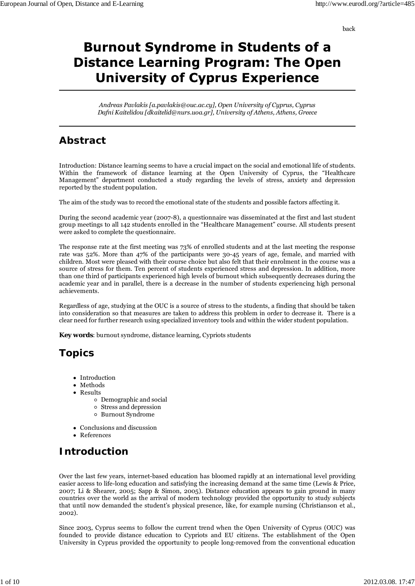back

# **Burnout Syndrome in Students of a Distance Learning Program: The Open University of Cyprus Experience**

*Andreas Pavlakis [a.pavlakis@ouc.ac.cy], Open University of Cyprus, Cyprus Dafni Kaitelidou [dkaitelid@nurs.uoa.gr], University of Athens, Athens, Greece*

### **Abstract**

Introduction: Distance learning seems to have a crucial impact on the social and emotional life of students. Within the framework of distance learning at the Open University of Cyprus, the "Healthcare Management" department conducted a study regarding the levels of stress, anxiety and depression reported by the student population.

The aim of the study was to record the emotional state of the students and possible factors affecting it.

During the second academic year (2007-8), a questionnaire was disseminated at the first and last student group meetings to all 142 students enrolled in the "Healthcare Management" course. All students present were asked to complete the questionnaire.

The response rate at the first meeting was 73% of enrolled students and at the last meeting the response rate was 52%. More than 47% of the participants were 30-45 years of age, female, and married with children. Most were pleased with their course choice but also felt that their enrolment in the course was a source of stress for them. Ten percent of students experienced stress and depression. In addition, more than one third of participants experienced high levels of burnout which subsequently decreases during the academic year and in parallel, there is a decrease in the number of students experiencing high personal achievements.

Regardless of age, studying at the OUC is a source of stress to the students, a finding that should be taken into consideration so that measures are taken to address this problem in order to decrease it. There is a clear need for further research using specialized inventory tools and within the wider student population.

**Key words**: burnout syndrome, distance learning, Cypriots students

### **Topics**

- Introduction
- Methods
- Results
	- Demographic and social
	- Stress and depression
	- Burnout Syndrome
- Conclusions and discussion
- References

# **Introduction**

Over the last few years, internet-based education has bloomed rapidly at an international level providing easier access to life-long education and satisfying the increasing demand at the same time (Lewis & Price, 2007; Li & Shearer, 2005; Sapp & Simon, 2005). Distance education appears to gain ground in many countries over the world as the arrival of modern technology provided the opportunity to study subjects that until now demanded the student's physical presence, like, for example nursing (Christianson et al., 2002).

Since 2003, Cyprus seems to follow the current trend when the Open University of Cyprus (OUC) was founded to provide distance education to Cypriots and EU citizens. The establishment of the Open University in Cyprus provided the opportunity to people long-removed from the conventional education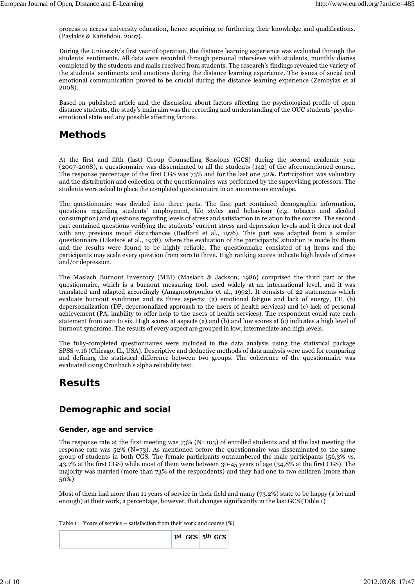process to access university education, hence acquiring or furthering their knowledge and qualifications. (Pavlakis & Kaitelidou, 2007).

During the University's first year of operation, the distance learning experience was evaluated through the students' sentiments. All data were recorded through personal interviews with students, monthly diaries completed by the students and mails received from students. The research's findings revealed the variety of the students' sentiments and emotions during the distance learning experience. The issues of social and emotional communication proved to be crucial during the distance learning experience (Zembylas et al 2008).

Based on published article and the discussion about factors affecting the psychological profile of open distance students, the study's main aim was the recording and understanding of the OUC students' psychoemotional state and any possible affecting factors.

### **Methods**

At the first and fifth (last) Group Counselling Sessions (GCS) during the second academic year (2007-2008), a questionnaire was disseminated to all the students (142) of the aforementioned course. The response percentage of the first CGS was 73% and for the last one 52%. Participation was voluntary and the distribution and collection of the questionnaires was performed by the supervising professors. The students were asked to place the completed questionnaire in an anonymous envelope.

The questionnaire was divided into three parts. The first part contained demographic information, questions regarding students' employment, life styles and behaviour (e.g. tobacco and alcohol consumption) and questions regarding levels of stress and satisfaction in relation to the course. The second part contained questions verifying the students' current stress and depression levels and it does not deal with any previous mood disturbances (Bedford et al., 1976). This part was adapted from a similar questionnaire (Liketsos et al., 1978), where the evaluation of the participants' situation is made by them and the results were found to be highly reliable. The questionnaire consisted of 14 items and the participants may scale every question from zero to three. High ranking scores indicate high levels of stress and/or depression.

The Maslach Burnout Inventory (MBI) (Maslach & Jackson, 1986) comprised the third part of the questionnaire, which is a burnout measuring tool, used widely at an international level, and it was translated and adapted accordingly (Anagnostopoulos et al., 1992). It consists of 22 statements which evaluate burnout syndrome and its three aspects: (a) emotional fatigue and lack of energy, EF, (b) depersonalization (DP, depersonalized approach to the users of health services) and (c) lack of personal achievement (PA, inability to offer help to the users of health services). The respondent could rate each statement from zero to six. High scores at aspects (a) and (b) and low scores at (c) indicates a high level of burnout syndrome. The results of every aspect are grouped in low, intermediate and high levels.

The fully-completed questionnaires were included in the data analysis using the statistical package SPSS-v.16 (Chicago, IL, USA). Descriptive and deductive methods of data analysis were used for comparing and defining the statistical difference between two groups. The coherence of the questionnaire was evaluated using Cronbach's alpha reliability test.

### **Results**

### **Demographic and social**

#### **Gender, age and service**

The response rate at the first meeting was  $73\%$  (N=103) of enrolled students and at the last meeting the response rate was 52% (N=73). As mentioned before the questionnaire was disseminated to the same group of students in both CGS. The female participants outnumbered the male participants (56,3% vs. 43,7% at the first CGS) while most of them were between 30-45 years of age (34,8% at the first CGS). The majority was married (more than 73% of the respondents) and they had one to two children (more than 50%)

Most of them had more than 11 years of service in their field and many (73.2%) state to be happy (a lot and enough) at their work, a percentage, however, that changes significantly in the last GCS (Table 1)

Table 1: Years of service – satisfaction from their work and course (%)

|  | $1st$ GCS $5th$ GCS |  |  |
|--|---------------------|--|--|
|  |                     |  |  |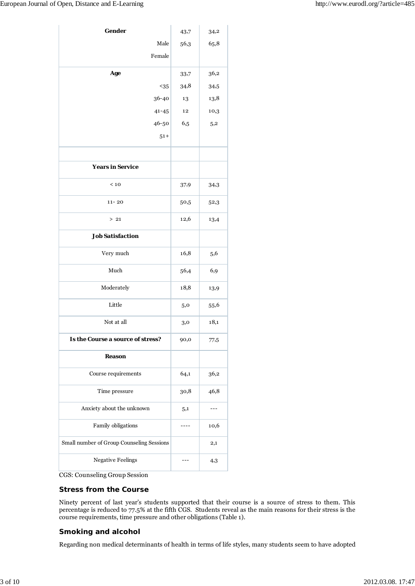| Gender                                    | 43,7 | 34,2     |
|-------------------------------------------|------|----------|
| Male                                      | 56,3 | 65,8     |
| Female                                    |      |          |
| Age                                       | 33,7 | 36,2     |
| $<35$                                     | 34,8 | 34,5     |
| 36-40                                     | 13   | 13,8     |
| $41 - 45$                                 | 12   | 10,3     |
| 46-50                                     | 6,5  | 5,2      |
| $51 +$                                    |      |          |
|                                           |      |          |
| <b>Years in Service</b>                   |      |          |
| < 10                                      | 37,9 | 34,3     |
| $11 - 20$                                 | 50,5 | 52,3     |
| $>21$                                     | 12,6 | 13,4     |
| <b>Job Satisfaction</b>                   |      |          |
| Very much                                 | 16,8 | 5,6      |
| Much                                      | 56,4 | 6,9      |
| Moderately                                | 18,8 | 13,9     |
| Little                                    | 5,0  | 55,6     |
| Not at all                                | 3,0  | 18,1     |
| Is the Course a source of stress?         | 90,0 | 77,5     |
| <b>Reason</b>                             |      |          |
| Course requirements                       | 64,1 | 36,2     |
| Time pressure                             | 30,8 | 46,8     |
| Anxiety about the unknown                 | 5,1  |          |
| Family obligations                        | ---- | 10,6     |
| Small number of Group Counseling Sessions |      | $^{2,1}$ |
| <b>Negative Feelings</b>                  |      | 4,3      |

CGS: Counseling Group Session

#### **Stress from the Course**

Ninety percent of last year's students supported that their course is a source of stress to them. This percentage is reduced to 77.5% at the fifth CGS. Students reveal as the main reasons for their stress is the course requirements, time pressure and other obligations (Table 1).

#### **Smoking and alcohol**

Regarding non medical determinants of health in terms of life styles, many students seem to have adopted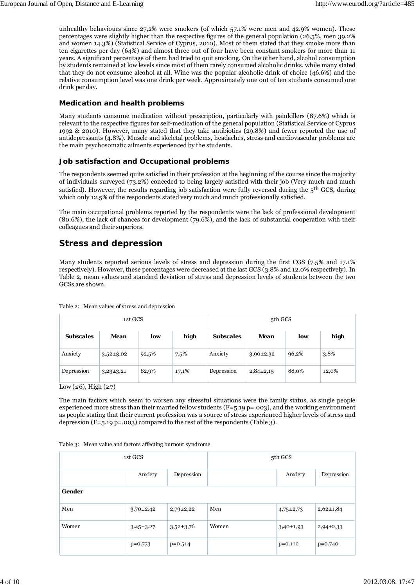unhealthy behaviours since 27,2% were smokers (of which 57.1% were men and 42.9% women). These percentages were slightly higher than the respective figures of the general population (26,5%, men 39.2% and women 14.3%) (Statistical Service of Cyprus, 2010). Most of them stated that they smoke more than ten cigarettes per day (64%) and almost three out of four have been constant smokers for more than 11 years. A significant percentage of them had tried to quit smoking. On the other hand, alcohol consumption by students remained at low levels since most of them rarely consumed alcoholic drinks, while many stated that they do not consume alcohol at all. Wine was the popular alcoholic drink of choice (46.6%) and the relative consumption level was one drink per week. Approximately one out of ten students consumed one drink per day.

#### **Medication and health problems**

Many students consume medication without prescription, particularly with painkillers (87.6%) which is relevant to the respective figures for self-medication of the general population (Statistical Service of Cyprus 1992 & 2010). However, many stated that they take antibiotics (29.8%) and fewer reported the use of antidepressants (4.8%). Muscle and skeletal problems, headaches, stress and cardiovascular problems are the main psychosomatic ailments experienced by the students.

#### **Job satisfaction and Occupational problems**

The respondents seemed quite satisfied in their profession at the beginning of the course since the majority of individuals surveyed (73.2%) conceded to being largely satisfied with their job (Very much and much satisfied). However, the results regarding job satisfaction were fully reversed during the  $5<sup>th</sup>$  GCS, during which only 12,5% of the respondents stated very much and much professionally satisfied.

The main occupational problems reported by the respondents were the lack of professional development (80.6%), the lack of chances for development (79.6%), and the lack of substantial cooperation with their colleagues and their superiors.

### **Stress and depression**

Many students reported serious levels of stress and depression during the first CGS (7.5% and 17.1% respectively). However, these percentages were decreased at the last GCS (3.8% and 12.0% respectively). In Table 2, mean values and standard deviation of stress and depression levels of students between the two GCSs are shown.

| Table 2: Mean values of stress and depression |  |  |  |  |  |  |
|-----------------------------------------------|--|--|--|--|--|--|
|-----------------------------------------------|--|--|--|--|--|--|

| 1st GCS          |               |       |       | 5th GCS          |               |       |       |  |
|------------------|---------------|-------|-------|------------------|---------------|-------|-------|--|
| <b>Subscales</b> | Mean          | low   | high  | <b>Subscales</b> | Mean          | low   | high  |  |
| Anxiety          | $3,52\pm3,02$ | 92,5% | 7,5%  | Anxiety          | $3,90\pm2,32$ | 96,2% | 3,8%  |  |
| Depression       | $3,23\pm3,21$ | 82,9% | 17,1% | Depression       | $2,84\pm2,15$ | 88,0% | 12,0% |  |

Low ( $\leq 6$ ), High ( $\geq 7$ )

The main factors which seem to worsen any stressful situations were the family status, as single people experienced more stress than their married fellow students  $(F=5.19 \text{ p}=.003)$ , and the working environment as people stating that their current profession was a source of stress experienced higher levels of stress and depression  $(F=5.19 \text{ p}=.003)$  compared to the rest of the respondents (Table 3).

| 1st GCS |                 |               | 5th GCS |               |                 |  |
|---------|-----------------|---------------|---------|---------------|-----------------|--|
|         | Anxiety         | Depression    |         | Anxiety       | Depression      |  |
| Gender  |                 |               |         |               |                 |  |
| Men     | $3.70 \pm 2.42$ | $2,79\pm2,22$ | Men     | $4,75\pm2,73$ | $2,62 \pm 1,84$ |  |
| Women   | $3.45 \pm 3.27$ | $3,52\pm3,76$ | Women   | $3,40\pm1,93$ | $2,94\pm2,33$   |  |
|         | $p=0.773$       | $p=0.514$     |         | $p=0.112$     | $p=0.740$       |  |

| Table 3: Mean value and factors affecting burnout syndrome |  |  |
|------------------------------------------------------------|--|--|
|                                                            |  |  |
|                                                            |  |  |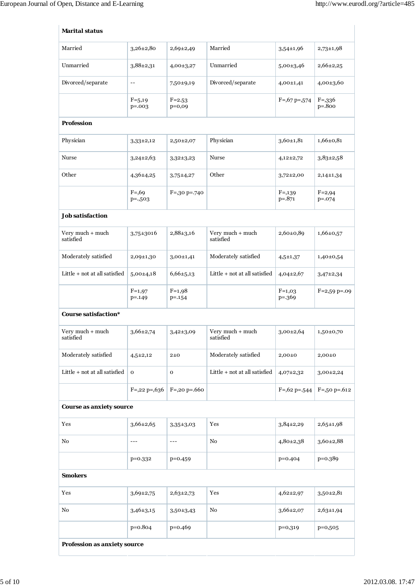| <b>Marital status</b>           |                          |                        |                               |                         |                           |
|---------------------------------|--------------------------|------------------------|-------------------------------|-------------------------|---------------------------|
| Married                         | $3,26\pm2,80$            | $2,69\pm2,49$          | Married                       | $3,54 \pm 1,96$         | $2,73\pm1,98$             |
| Unmarried                       | $3,88\pm2,31$            | $4,00\pm3,27$          | Unmarried                     | $5,00\pm3,46$           | 2,66±2,25                 |
| Divorced/separate               | $-\,-$                   | 7,50±9,19              | Divorced/separate             | $4,00\pm1,41$           | $4,00\pm3,60$             |
|                                 | $F=5,19$<br>$p = .003$   | $F = 2.53$<br>$p=0,09$ |                               | $F = 0.67$ p= $0.574$   | $F = 336$<br>$p=.800$     |
| <b>Profession</b>               |                          |                        |                               |                         |                           |
| Physician                       | $3,33\pm2,12$            | 2,50±2,07              | Physician                     | $3,60+1,81$             | $1,66 \pm 0,81$           |
| Nurse                           | $3,24\pm2,63$            | $3,32\pm3,23$          | Nurse                         | $4,12\pm2,72$           | $3,83\pm2,58$             |
| Other                           | $4,36\pm4,25$            | $3,75+4,27$            | Other                         | $3,72\pm2,00$           | $2,14\pm1,34$             |
|                                 | $F = 0.69$<br>$p = .503$ | $F = 30 p = 740$       |                               | $F = 0.139$<br>$p=.871$ | $F = 2,94$<br>$p = 0.074$ |
| <b>Job satisfaction</b>         |                          |                        |                               |                         |                           |
| Very much + much<br>satisfied   | $3,75 \pm 3016$          | $2,88\pm3,16$          | Very much + much<br>satisfied | $2,60\pm0,89$           | $1,66 \pm 0,57$           |
| Moderately satisfied            | 2,09±1,30                | $3,00+1,41$            | Moderately satisfied          | $4,5+1,37$              | $1,40+0,54$               |
| Little + not at all satisfied   | $5,00\pm4,18$            | $6,66 \pm 5,13$        | Little + not at all satisfied | $4,04\pm2,67$           | $3,47\pm2,34$             |
|                                 | $F=1,97$<br>$p = 149$    | $F=1,98$<br>$p = -154$ |                               | $F=1,03$<br>$p = 369$   | $F=2,59$ p=.09            |
| <b>Course satisfaction*</b>     |                          |                        |                               |                         |                           |
| Very much + much<br>satisfied   | $3,66 \pm 2,74$          | $3,42\pm3,09$          | Very much + much<br>satisfied | $3,00\pm2,64$           | $1,50\pm0,70$             |
| Moderately satisfied            | $4,5{\pm}2,12$           | $2\pm 0$               | Moderately satisfied          | $2,00\pm0$              | $2,00\pm0$                |
| Little + not at all satisfied   | $\mathbf O$              | o                      | Little + not at all satisfied | $4,07\pm2,32$           | 3,00±2,24                 |
|                                 | $F = 0.22$ p= $0.636$    | $F = 0.20$ p=.660      |                               | $F = 0.62$ p= $0.544$   | $F = 50$ p=.612           |
| <b>Course as anxiety source</b> |                          |                        |                               |                         |                           |
| Yes                             | $3,66 \pm 2,65$          | $3,35 \pm 3,03$        | Yes                           | $3,84\pm2,29$           | $2,65 \pm 1,98$           |
| No                              | $---$                    | ---                    | No                            | $4,80{\pm}2,38$         | 3,60±2,88                 |
|                                 | $p=0.332$                | $p=0.459$              |                               | $p=0.404$               | $p=0.389$                 |
| <b>Smokers</b>                  |                          |                        |                               |                         |                           |
| Yes                             | $3,69{\pm}2,75$          | $2,63\pm2,73$          | Yes                           | $4,62\pm2,97$           | $3,50{\pm}2,81$           |
| No                              | $3,46 \pm 3,15$          | $3,50+3,43$            | $\rm No$                      | $3,66 \pm 2,07$         | $2,63 \pm 1,94$           |
|                                 | $p = 0.804$              | $p=0.469$              |                               | $p=0,319$               | $p=0,505$                 |
| Profession as anxiety source    |                          |                        |                               |                         |                           |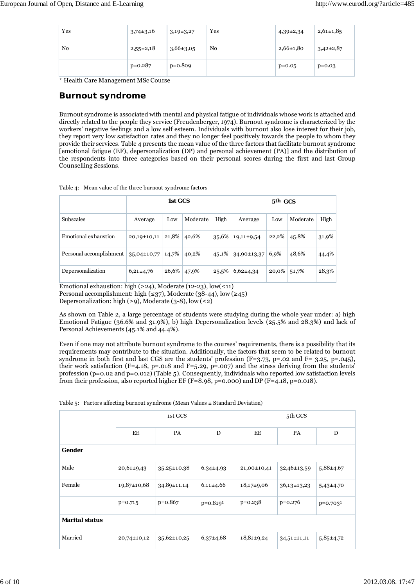| Yes            | $3,74\pm3,16$   | $3,19\pm3,27$ | Yes            | $4,39\pm2,34$   | $2,61\pm1,85$ |
|----------------|-----------------|---------------|----------------|-----------------|---------------|
| N <sub>0</sub> | $2,55{\pm}2,18$ | $3,66\pm3,05$ | N <sub>0</sub> | $2,66 \pm 1,80$ | $3,42\pm2,87$ |
|                | $p=0.287$       | $p=0.809$     |                | $p=0.05$        | $p=0.03$      |

\* Health Care Management MSc Course

#### **Burnout syndrome**

Burnout syndrome is associated with mental and physical fatigue of individuals whose work is attached and directly related to the people they service (Freudenberger, 1974). Burnout syndrome is characterized by the workers' negative feelings and a low self esteem. Individuals with burnout also lose interest for their job, they report very low satisfaction rates and they no longer feel positively towards the people to whom they provide their services. Table 4 presents the mean value of the three factors that facilitate burnout syndrome [emotional fatigue (EF), depersonalization (DP) and personal achievement (PA)] and the distribution of the respondents into three categories based on their personal scores during the first and last Group Counselling Sessions.

|                         | 1st GCS         |       |          |       |                | 5 <sup>th</sup> GCS |          |       |
|-------------------------|-----------------|-------|----------|-------|----------------|---------------------|----------|-------|
| <b>Subscales</b>        | Average         | Low   | Moderate | High  | Average        | Low                 | Moderate | High  |
| Emotional exhaustion    | 20,19±10,11     | 21,8% | 42,6%    | 35,6% | $19,11\pm9,54$ | 22,2%               | 45,8%    | 31,9% |
| Personal accomplishment | $35,04\pm10,77$ | 14,7% | 40,2%    | 45,1% | 34,90±13,37    | 6,9%                | 48,6%    | 44,4% |
| Depersonalization       | $6,21\pm4,76$   | 26,6% | 47,9%    | 25,5% | $6,62\pm4,34$  | 20,0%               | 51,7%    | 28,3% |

Table 4: Mean value of the three burnout syndrome factors

Emotional exhaustion: high (≥24), Moderate (12-23), low(≤11) Personal accomplishment: high (≤37), Moderate (38-44), low (≥45)

Depersonalization: high (≥9), Moderate (3-8), low (≤2)

As shown on Table 2, a large percentage of students were studying during the whole year under: a) high Emotional Fatigue (36.6% and 31.9%), b) high Depersonalization levels (25.5% and 28.3%) and lack of Personal Achievements (45.1% and 44.4%).

Even if one may not attribute burnout syndrome to the courses' requirements, there is a possibility that its requirements may contribute to the situation. Additionally, the factors that seem to be related to burnout syndrome in both first and last CGS are the students' profession  $(F=3.73, p=.02$  and  $F= 3.25, p=.045$ ), their work satisfaction (F=4.18, p=.018 and F=5.29, p=.007) and the stress deriving from the students' profession (p=0.02 and p=0.012) (Table 5). Consequently, individuals who reported low satisfaction levels from their profession, also reported higher EF (F=8.98, p=0.000) and DP (F=4.18, p=0.018).

|  |  | Table 5: Factors affecting burnout syndrome (Mean Values $\pm$ Standard Deviation) |
|--|--|------------------------------------------------------------------------------------|
|--|--|------------------------------------------------------------------------------------|

|                       |                   | 1st GCS           |                 | 5th GCS          |                   |               |  |
|-----------------------|-------------------|-------------------|-----------------|------------------|-------------------|---------------|--|
|                       | EE                | PA                | D               | EE               | PA                | D             |  |
| Gender                |                   |                   |                 |                  |                   |               |  |
| Male                  | $20,61\pm9,43$    | $35.25 \pm 10.38$ | $6.34 \pm 4.93$ | 21,00±10,41      | 32,46±13,59       | $5,88\pm4.67$ |  |
| Female                | $19,87 \pm 10,68$ | 34.89±11.14       | $6.11 \pm 4.66$ | $18,17+9,06$     | $36,13\pm13,23$   | $5,43\pm4.70$ |  |
|                       | $p=0.715$         | $p=0.867$         | $p=0.8191$      | $p=0.238$        | $p=0.276$         | $p=0.7031$    |  |
| <b>Marital status</b> |                   |                   |                 |                  |                   |               |  |
| Married               | 20,74±10,12       | $35,62 \pm 10,25$ | $6,37\pm4,68$   | $18,81 \pm 9,24$ | $34,51 \pm 11,11$ | $5,85\pm4,72$ |  |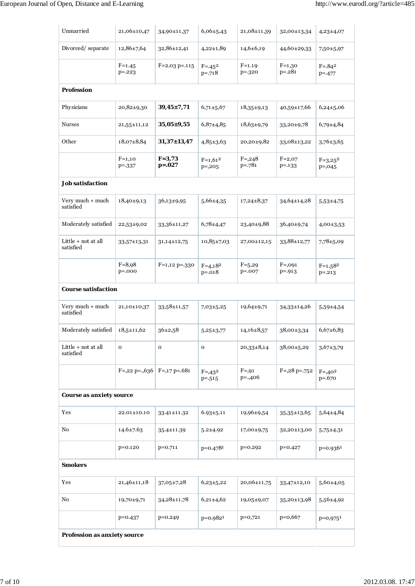| Unmarried                        | 21,06±10,47                                 | 34,90±11,37            | $6,06 \pm 5,43$           | 21,08±11,39              | 32,00±13,34               | $4,23\pm4,07$             |
|----------------------------------|---------------------------------------------|------------------------|---------------------------|--------------------------|---------------------------|---------------------------|
| Divorced/separate                | $12,86 \pm 7,64$                            | 32,86±12,41            | $4,22\pm1,89$             | $14,6+6,19$              | 44,60±29,33               | 7,50 ± 5,97               |
|                                  | $F = 1.45$<br>$p = 0.223$                   | $F = 2.03$ p=.115      | $F = -45^2$<br>$p=.718$   | $F = 1.19$<br>$p = .320$ | $F=1,30$<br>$p = .281$    | $F = .84^2$<br>$p = -477$ |
| <b>Profession</b>                |                                             |                        |                           |                          |                           |                           |
| Physicians                       | $20,82\pm9,30$                              | $39,45 \pm 7,71$       | $6,71\pm5,67$             | $18,35+9,13$             | 40,59±17,66               | $6,24\pm 5,06$            |
| <b>Nurses</b>                    | 21,55±11,12                                 | $35,05 \pm 9,55$       | $6,87{\pm}4,85$           | $18,63\pm9,79$           | 33,20±9,78                | $6,79 \pm 4,84$           |
| Other                            | $18,07\pm8,84$                              | $31,37 \pm 13,47$      | $4,85 \pm 3,63$           | 20,20±9,82               | 33,08±13,22               | $3,76 \pm 3,65$           |
|                                  | $F=1,10$<br>$p = -337$                      | $F = 3,73$<br>$p=.027$ | $F=1,61^2$<br>$p = 0.205$ | $F = 0.248$<br>$p=.781$  | $F=2,07$<br>$p = -133$    | $F=3,25^2$<br>$p = 0.045$ |
| <b>Job satisfaction</b>          |                                             |                        |                           |                          |                           |                           |
| Very much + much<br>satisfied    | $18,40+9,13$                                | $36,13+9,95$           | $5,66 \pm 4,35$           | $17,24\pm8,37$           | 34,64±14,28               | $5,53+4,75$               |
| Moderately satisfied             | 22,53±9,02                                  | 33,36±11,27            | $6,78\pm4,47$             | 23,40±9,88               | 36,40±9,74                | $4,00\pm3,53$             |
| Little + not at all<br>satisfied | 33,57±13,31                                 | $31,14\pm 12,75$       | $10,85\pm7,03$            | 27,00±12,15              | 33,88±12,77               | $7,78 \pm 5,09$           |
|                                  | $F = 8,98$<br>$p = .000$                    | $F=1,12$ p= $-330$     | $F=4,18^2$<br>$p=.018$    | $F=5,29$<br>$p = .007$   | $F = 0.091$<br>$p = -913$ | $F=1,58^2$<br>$p = -213$  |
| <b>Course satisfaction</b>       |                                             |                        |                           |                          |                           |                           |
| Very much + much<br>satisfied    | 21,10±10,37                                 | 33,58±11,57            | $7,03+5,25$               | $19,64 \pm 9,71$         | 34,33±14,26               | 5,59±4,54                 |
| Moderately satisfied             | $18,5 \pm 11,62$                            | $36+2,58$              | $5,25\pm3,77$             | $14,16\pm8,57$           | $38,00\pm3,34$            | $6,67+6,83$               |
| Little + not at all<br>satisfied | $\mathbf 0$                                 | 0                      | 0                         | $20,33\pm8,14$           | 38,00±5,29                | $3,67\pm3,79$             |
|                                  | $F = 0.22$ p= $0.636$ $F = 0.17$ p= $0.681$ |                        | $F = 0.432$<br>$p = -515$ | $F = 0.91$<br>$p=.406$   | $F = 0.28$ p= $0.752$     | $F = 0.402$<br>$p=.670$   |
| Course as anxiety source         |                                             |                        |                           |                          |                           |                           |
| Yes                              | 22.01±10.10                                 | 33.41±11.32            | $6.93 \pm 5.11$           | 19,96±9,54               | $35,35 \pm 13,65$         | $5,64 \pm 4,84$           |
| No                               | $14.6 \pm 7.63$                             | 35.4±11.39             | $5.2 + 4.92$              | 17,00±9,75               | 32,20±13,00               | $5,75\pm4.31$             |
|                                  | $p=0.120$                                   | $p=0.711$              | $p=0.4781$                | $p=0.292$                | $p=0.427$                 | $p=0.9361$                |
| <b>Smokers</b>                   |                                             |                        |                           |                          |                           |                           |
| Yes                              | $21,46 \pm 11,18$                           | $37,05\pm7,28$         | $6,23\pm5,22$             | 20,06±11,75              | 33,47±12,10               | $5,60+4,05$               |
| No                               | 19,70±9,71                                  | 34,28±11,78            | $6,21\pm4,62$             | 19,05±9,07               | $35,20 \pm 13,98$         | $5,56\pm4,92$             |
|                                  | $p=0.437$                                   | $p=0.249$              | $p=0.9821$                | $p=0,721$                | $p=0,667$                 | $p=0.9751$                |
| Profession as anxiety source     |                                             |                        |                           |                          |                           |                           |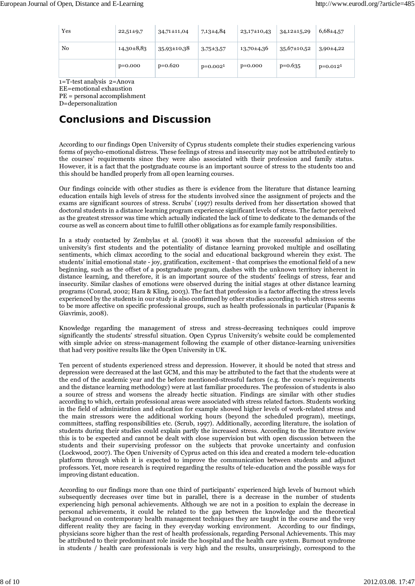| Yes | $22,51\pm9,7$  | $34,71 \pm 11,04$ | 7,13±4,84       | $23,17\pm10,43$ | $34,12\pm 15,29$  | $6,68{\pm}4,57$ |
|-----|----------------|-------------------|-----------------|-----------------|-------------------|-----------------|
| No  | $14,30\pm8,83$ | 35,93±10,38       | $3,75 \pm 3,57$ | 13,70±4,36      | $35,67 \pm 10,52$ | $3,90\pm4,22$   |
|     | $p=0.000$      | $p=0.620$         | $p=0.0021$      | $p=0.000$       | $p=0.635$         | $p=0.0121$      |

1=Τ-test analysis 2=Anova

EE=emotional exhaustion

PE = personal accomplishment

D=depersonalization

## **Conclusions and Discussion**

According to our findings Open University of Cyprus students complete their studies experiencing various forms of psycho-emotional distress. These feelings of stress and insecurity may not be attributed entirely to the courses' requirements since they were also associated with their profession and family status. However, it is a fact that the postgraduate course is an important source of stress to the students too and this should be handled properly from all open learning courses.

Our findings coincide with other studies as there is evidence from the literature that distance learning education entails high levels of stress for the students involved since the assignment of projects and the exams are significant sources of stress. Scrubs' (1997) results derived from her dissertation showed that doctoral students in a distance learning program experience significant levels of stress. The factor perceived as the greatest stressor was time which actually indicated the lack of time to dedicate to the demands of the course as well as concern about time to fulfill other obligations as for example family responsibilities.

In a study contacted by Zembylas et al. (2008) it was shown that the successful admission of the university's first students and the potentiality of distance learning provoked multiple and oscillating sentiments, which climax according to the social and educational background wherein they exist. The students' initial emotional state - joy, gratification, excitement - that comprises the emotional field of a new beginning, such as the offset of a postgraduate program, clashes with the unknown territory inherent in distance learning, and therefore, it is an important source of the students' feelings of stress, fear and insecurity. Similar clashes of emotions were observed during the initial stages at other distance learning programs (Conrad, 2002; Hara & Kling, 2003). The fact that profession is a factor affecting the stress levels experienced by the students in our study is also confirmed by other studies according to which stress seems to be more affective on specific professional groups, such as health professionals in particular (Papanis & Giavrimis, 2008).

Knowledge regarding the management of stress and stress-decreasing techniques could improve significantly the students' stressful situation. Open Cyprus University's website could be complemented with simple advice on stress-management following the example of other distance-learning universities that had very positive results like the Open University in UK.

Ten percent of students experienced stress and depression. However, it should be noted that stress and depression were decreased at the last GCM, and this may be attributed to the fact that the students were at the end of the academic year and the before mentioned-stressful factors (e.g. the course's requirements and the distance learning methodology) were at last familiar procedures. The profession of students is also a source of stress and worsens the already hectic situation. Findings are similar with other studies according to which, certain professional areas were associated with stress related factors. Students working in the field of administration and education for example showed higher levels of work-related stress and the main stressors were the additional working hours (beyond the scheduled program), meetings, committees, staffing responsibilities etc. (Scrub, 1997). Additionally, according literature, the isolation of students during their studies could explain partly the increased stress. According to the literature review this is to be expected and cannot be dealt with close supervision but with open discussion between the students and their supervising professor on the subjects that provoke uncertainty and confusion (Lockwood, 2007). The Open University of Cyprus acted on this idea and created a modern tele-education platform through which it is expected to improve the communication between students and adjunct professors. Yet, more research is required regarding the results of tele-education and the possible ways for improving distant education.

According to our findings more than one third of participants' experienced high levels of burnout which subsequently decreases over time but in parallel, there is a decrease in the number of students experiencing high personal achievements. Although we are not in a position to explain the decrease in personal achievements, it could be related to the gap between the knowledge and the theoretical background on contemporary health management techniques they are taught in the course and the very different reality they are facing in they everyday working environment. According to our findings, physicians score higher than the rest of health professionals, regarding Personal Achievements. This may be attributed to their predominant role inside the hospital and the health care system. Burnout syndrome in students / health care professionals is very high and the results, unsurprisingly, correspond to the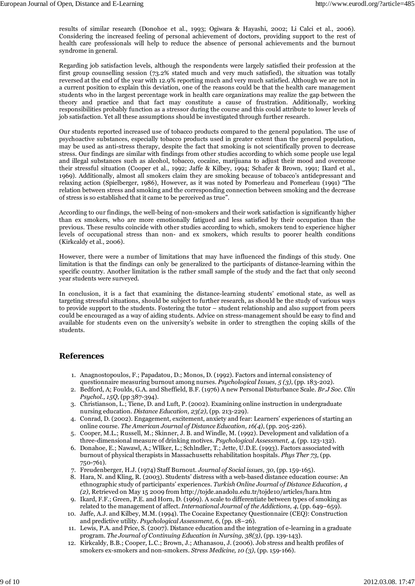results of similar research (Donohoe et al., 1993; Ogiwara & Hayashi, 2002; Li Calci et al., 2006). Considering the increased feeling of personal achievement of doctors, providing support to the rest of health care professionals will help to reduce the absence of personal achievements and the burnout syndrome in general.

Regarding job satisfaction levels, although the respondents were largely satisfied their profession at the first group counselling session (73.2% stated much and very much satisfied), the situation was totally reversed at the end of the year with 12.9% reporting much and very much satisfied. Although we are not in a current position to explain this deviation, one of the reasons could be that the health care management students who in the largest percentage work in health care organizations may realize the gap between the theory and practice and that fact may constitute a cause of frustration. Additionally, working responsibilities probably function as a stressor during the course and this could attribute to lower levels of job satisfaction. Yet all these assumptions should be investigated through further research.

Our students reported increased use of tobacco products compared to the general population. The use of psychoactive substances, especially tobacco products used in greater extent than the general population, may be used as anti-stress therapy, despite the fact that smoking is not scientifically proven to decrease stress. Our findings are similar with findings from other studies according to which some people use legal and illegal substances such as alcohol, tobacco, cocaine, marijuana to adjust their mood and overcome their stressful situation (Cooper et al., 1992; Jaffe & Kilbey, 1994; Schafer & Brown, 1991; Ikard et al., 1969). Additionally, almost all smokers claim they are smoking because of tobacco's antidepressant and relaxing action (Spielberger, 1986), However, as it was noted by Pomerleau and Pomerleau (1991) "The relation between stress and smoking and the corresponding connection between smoking and the decrease of stress is so established that it came to be perceived as true".

According to our findings, the well-being of non-smokers and their work satisfaction is significantly higher than ex smokers, who are more emotionally fatigued and less satisfied by their occupation than the previous. These results coincide with other studies according to which, smokers tend to experience higher levels of occupational stress than non- and ex smokers, which results to poorer health conditions (Kirkcaldy et al., 2006).

However, there were a number of limitations that may have influenced the findings of this study. One limitation is that the findings can only be generalized to the participants of distance-learning within the specific country. Another limitation is the rather small sample of the study and the fact that only second year students were surveyed.

In conclusion, it is a fact that examining the distance-learning students' emotional state, as well as targeting stressful situations, should be subject to further research, as should be the study of various ways to provide support to the students. Fostering the tutor – student relationship and also support from peers could be encouraged as a way of aiding students. Advice on stress-management should be easy to find and available for students even on the university's website in order to strengthen the coping skills of the students.

#### **References**

- 1. Anagnostopoulos, F.; Papadatou, D.; Monos, D. (1992). Factors and internal consistency of questionnaire measuring burnout among nurses. *Psychological Issues, 5 (3)*, (pp. 183-202).
- Bedford, Α; Foulds, G.A. and Sheffield, B.F. (1976) A new Personal Disturbance Scale. *Br.J Soc. Clin* 2. *Psychol., 15Q*, (pp 387-394).
- 3. Christianson, L.; Tiene, D. and Luft, P. (2002). Examining online instruction in undergraduate nursing education. *Distance Education, 23(2)*, (pp. 213-229).
- 4. Conrad, D. (2002). Engagement, excitement, anxiety and fear: Learners' experiences of starting an online course. *The American Journal of Distance Education, 16(4)*, (pp. 205-226).
- 5. Cooper, M.L.; Russell, M.; Skinner, J. B. and Windle, M. (1992). Development and validation of a three-dimensional measure of drinking motives. *Psychological Assessment, 4*, (pp. 123-132).
- 6. Donahoe, E.; Nawawl, A.; Wllker, L.; Schlndler, T.; Jette, U.D.E. (1993). Factors associated with burnout of physical therapists in Massachusetts rehabilitation hospitals. *Phys Ther 73*, (pp. 750-761).
- 7. Freudenberger, H.J. (1974) Staff Burnout. *Journal of Social issues, 30*, (pp. 159-165).
- 8. Hara, N. and Kling, R. (2003). Students' distress with a web-based distance education course: An ethnographic study of participants' experiences. *Turkish Online Journal of Distance Education, 4 (2)*, Retrieved on May 15 2009 from http://tojde.anadolu.edu.tr/tojde10/articles/hara.htm
- Ikard, F.F.; Green, P.E. and Horn, D. (1969). A scale to differentiate between types of smoking as 9. related to the management of affect. *International Journal of the Addictions, 4*, (pp. 649–659).
- 10. Jaffe, A.J. and Kilbey, M.M. (1994). The Cocaine Expectancy Questionnaire (CEQ): Construction and predictive utility. *Psychological Assessment, 6*, (pp. 18–26).
- 11. Lewis, P.A. and Price, S. (2007). Distance education and the integration of e-learning in a graduate program. *The Journal of Continuing Education in Nursing, 38(3)*, (pp. 139-143).
- 12. Kirkcaldy, B.B.; Cooper, L.C.; Brown, J.; Athanasou, J. (2006). Job stress and health profiles of smokers ex-smokers and non-smokers. *Stress Medicine, 10 (3)*, (pp. 159-166).